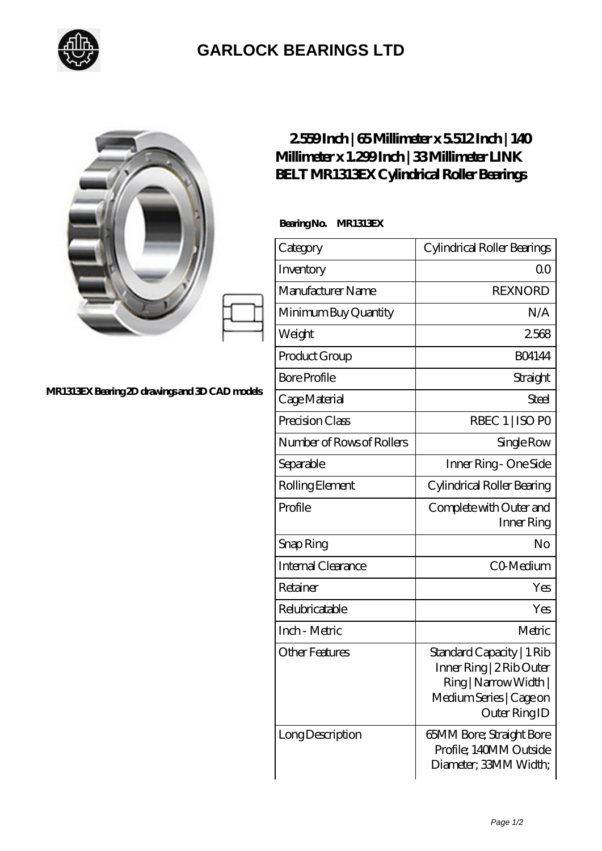

## **[GARLOCK BEARINGS LTD](https://m.letterstopriests.com)**

|                                               | 2559Inch   65Millimeter x 5512Inch   140<br>Millimeter x 1.299Inch   33Millimeter LINK<br>BELT MR1313EX Cylindrical Roller Bearings |                                                                                                                            |
|-----------------------------------------------|-------------------------------------------------------------------------------------------------------------------------------------|----------------------------------------------------------------------------------------------------------------------------|
|                                               | BearingNo.<br>MR1313EX                                                                                                              |                                                                                                                            |
|                                               | Category                                                                                                                            | Cylindrical Roller Bearings                                                                                                |
|                                               | Inventory                                                                                                                           | 0 <sup>0</sup>                                                                                                             |
|                                               | Manufacturer Name                                                                                                                   | <b>REXNORD</b>                                                                                                             |
|                                               | Minimum Buy Quantity                                                                                                                | N/A                                                                                                                        |
|                                               | Weight                                                                                                                              | 2568                                                                                                                       |
|                                               | Product Group                                                                                                                       | <b>BO4144</b>                                                                                                              |
|                                               | <b>Bore Profile</b>                                                                                                                 | Straight                                                                                                                   |
| MR1313EXBearing 2D drawings and 3D CAD models | Cage Material                                                                                                                       | Steel                                                                                                                      |
|                                               | Precision Class                                                                                                                     | RBEC 1   ISO PO                                                                                                            |
|                                               | Number of Rows of Rollers                                                                                                           | Single Row                                                                                                                 |
|                                               | Separable                                                                                                                           | Inner Ring - One Side                                                                                                      |
|                                               | Rolling Element                                                                                                                     | Cylindrical Roller Bearing                                                                                                 |
|                                               | Profile                                                                                                                             | Complete with Outer and<br>Inner Ring                                                                                      |
|                                               | Snap Ring                                                                                                                           | No                                                                                                                         |
|                                               | Internal Clearance                                                                                                                  | CO-Medium                                                                                                                  |
|                                               | Retainer                                                                                                                            | Yes                                                                                                                        |
|                                               | Relubricatable                                                                                                                      | Yes                                                                                                                        |
|                                               | Inch - Metric                                                                                                                       | Metric                                                                                                                     |
|                                               | <b>Other Features</b>                                                                                                               | Standard Capacity   1 Rib<br>Inner Ring   2 Rib Outer<br>Ring   Narrow Width  <br>Medium Series   Cage on<br>Outer Ring ID |
|                                               | Long Description                                                                                                                    | 65MM Bore; Straight Bore<br>Profile; 140MM Outside<br>Diameter; 33MM Width;                                                |